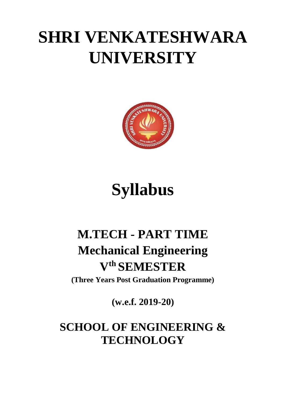# **SHRI VENKATESHWARA UNIVERSITY**



# **Syllabus**

## **M.TECH - PART TIME Mechanical Engineering V th SEMESTER**

**(Three Years Post Graduation Programme)**

**(w.e.f. 2019-20)**

## **SCHOOL OF ENGINEERING & TECHNOLOGY**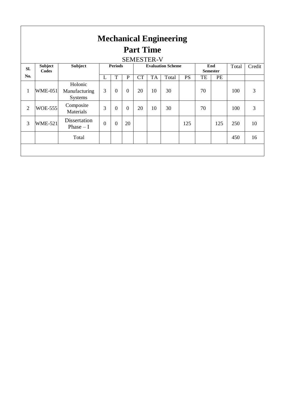| <b>Mechanical Engineering</b><br><b>Part Time</b><br><b>SEMESTER-V</b> |                         |                                            |                |                |                |                          |           |       |                        |    |       |        |    |
|------------------------------------------------------------------------|-------------------------|--------------------------------------------|----------------|----------------|----------------|--------------------------|-----------|-------|------------------------|----|-------|--------|----|
| SI.                                                                    | <b>Subject</b><br>Codes | <b>Subject</b>                             | <b>Periods</b> |                |                | <b>Evaluation Scheme</b> |           |       | End<br><b>Semester</b> |    | Total | Credit |    |
| No.                                                                    |                         |                                            | L              | T              | P              | <b>CT</b>                | <b>TA</b> | Total | <b>PS</b>              | TE | PE    |        |    |
| $\mathbf{1}$                                                           | <b>WME-051</b>          | Holonic<br>Manufacturing<br><b>Systems</b> | 3              | $\theta$       | $\theta$       | 20                       | 10        | 30    |                        | 70 |       | 100    | 3  |
| $\overline{2}$                                                         | <b>WOE-555</b>          | Composite<br>Materials                     | 3              | $\overline{0}$ | $\overline{0}$ | 20                       | 10        | 30    |                        | 70 |       | 100    | 3  |
| 3                                                                      | <b>WME-521</b>          | Dissertation<br>Phase $-I$                 | $\Omega$       | $\Omega$       | 20             |                          |           |       | 125                    |    | 125   | 250    | 10 |
|                                                                        |                         | Total                                      |                |                |                |                          |           |       |                        |    |       | 450    | 16 |
|                                                                        |                         |                                            |                |                |                |                          |           |       |                        |    |       |        |    |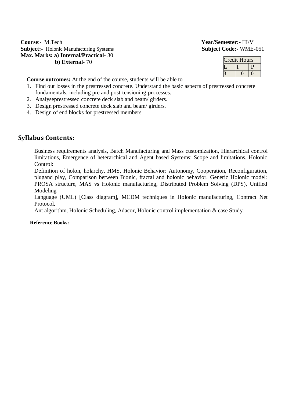**Course**:- M.Tech **Year/Semester:-** III/V **Subject:-** Holonic Manufacturing Systems **Subject Code:-** WME-051 **Max. Marks: a) Internal/Practical-** 30 **b) External**- 70

| redit Hours |  |  |  |  |  |  |
|-------------|--|--|--|--|--|--|
|             |  |  |  |  |  |  |
|             |  |  |  |  |  |  |

**Course outcomes:** At the end of the course, students will be able to

- 1. Find out losses in the prestressed concrete. Understand the basic aspects of prestressed concrete fundamentals, including pre and post-tensioning processes.
- 2. Analyseprestressed concrete deck slab and beam/ girders.
- 3. Design prestressed concrete deck slab and beam/ girders.
- 4. Design of end blocks for prestressed members.

### **Syllabus Contents:**

Business requirements analysis, Batch Manufacturing and Mass customization, Hierarchical control limitations, Emergence of heterarchical and Agent based Systems: Scope and limitations. Holonic Control:

Definition of holon, holarchy, HMS, Holonic Behavior: Autonomy, Cooperation, Reconfiguration, plugand play, Comparison between Bionic, fractal and holonic behavior. Generic Holonic model: PROSA structure, MAS vs Holonic manufacturing, Distributed Problem Solving (DPS), Unified Modeling

Language (UML) [Class diagram], MCDM techniques in Holonic manufacturing, Contract Net Protocol,

Ant algorithm, Holonic Scheduling, Adacor, Holonic control implementation & case Study.

### **Reference Books:**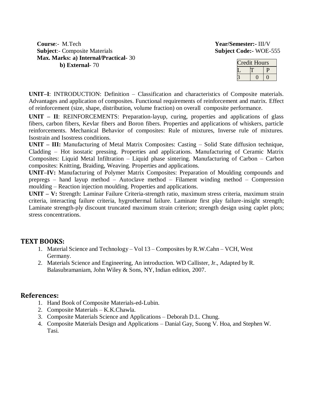**Course:**- M.Tech **Year/Semester:-** III/V<br> **Subject**:- Composite Materials **Subject Code:-** WOE-555 **Subject:**- Composite Materials **Max. Marks: a) Internal/Practical-** 30 **b) External**- 70

| redit Hours |  |  |  |  |  |  |
|-------------|--|--|--|--|--|--|
|             |  |  |  |  |  |  |
|             |  |  |  |  |  |  |

**UNIT–I**: INTRODUCTION: Definition – Classification and characteristics of Composite materials. Advantages and application of composites. Functional requirements of reinforcement and matrix. Effect of reinforcement (size, shape, distribution, volume fraction) on overall composite performance.

**UNIT – II**: REINFORCEMENTS: Preparation-layup, curing, properties and applications of glass fibers, carbon fibers, Kevlar fibers and Boron fibers. Properties and applications of whiskers, particle reinforcements. Mechanical Behavior of composites: Rule of mixtures, Inverse rule of mixtures. Isostrain and Isostress conditions.

**UNIT – III:** Manufacturing of Metal Matrix Composites: Casting – Solid State diffusion technique, Cladding – Hot isostatic pressing. Properties and applications. Manufacturing of Ceramic Matrix Composites: Liquid Metal Infiltration – Liquid phase sintering. Manufacturing of Carbon – Carbon composites: Knitting, Braiding, Weaving. Properties and applications.

**UNIT–IV:** Manufacturing of Polymer Matrix Composites: Preparation of Moulding compounds and prepregs – hand layup method – Autoclave method – Filament winding method – Compression moulding – Reaction injection moulding. Properties and applications.

**UNIT – V:** Strength: Laminar Failure Criteria-strength ratio, maximum stress criteria, maximum strain criteria, interacting failure criteria, hygrothermal failure. Laminate first play failure-insight strength; Laminate strength-ply discount truncated maximum strain criterion; strength design using caplet plots; stress concentrations.

## **TEXT BOOKS:**

- 1. Material Science and Technology Vol 13 Composites by R.W.Cahn VCH, West Germany.
- 2. Materials Science and Engineering, An introduction. WD Callister, Jr., Adapted by R. Balasubramaniam, John Wiley & Sons, NY, Indian edition, 2007.

## **References:**

- 1. Hand Book of Composite Materials-ed-Lubin.
- 2. Composite Materials K.K.Chawla.
- 3. Composite Materials Science and Applications Deborah D.L. Chung.
- 4. Composite Materials Design and Applications Danial Gay, Suong V. Hoa, and Stephen W. Tasi.